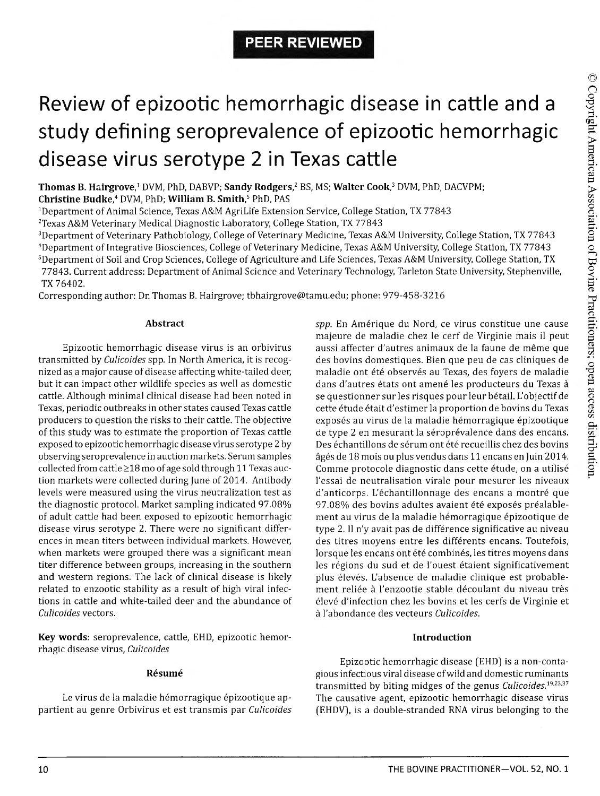# Review of epizootic hemorrhagic disease in cattle and a study defining seroprevalence of epizootic hemorrhagic disease virus serotype 2 in Texas cattle

**Thomas B. Hairgrove,1** DVM, PhD, DABVP; **Sandy Rodgers,2** BS, MS; **Walter Cook,3** DVM, PhD, DACVPM; **Christine Budke,4** DVM, PhD; **William B. Smith,5** PhD, PAS

<sup>1</sup>Department of Animal Science, Texas A&M AgriLife Extension Service, College Station, TX 77843

2Texas A&M Veterinary Medical Diagnostic Laboratory, College Station, TX 77843

<sup>3</sup>Department of Veterinary Pathobiology, College of Veterinary Medicine, Texas A&M University, College Station, TX 77843 <sup>4</sup>Department of Integrative Biosciences, College of Veterinary Medicine, Texas A&M University, College Station, TX 77843 <sup>5</sup>Department of Soil and Crop Sciences, College of Agriculture and Life Sciences, Texas A&M University, College Station, TX 77843. Current address: Department of Animal Science and Veterinary Technology, Tarleton State University, Stephenville, TX 76402.

Corresponding author: Dr. Thomas B. Hairgrove; [tbhairgrove@tamu.edu](mailto:tbhairgrove@tamu.edu); phone: 979-458-3216

# **Abstract**

Epizootic hemorrhagic disease virus is an orbivirus transmitted by *Culicoides* spp. In North America, it is recognized as a major cause of disease affecting white-tailed deer, but it can impact other wildlife species as well as domestic cattle. Although minimal clinical disease had been noted in Texas, periodic outbreaks in other states caused Texas cattle producers to question the risks to their cattle. The objective of this study was to estimate the proportion of Texas cattle exposed to epizootic hemorrhagic disease virus serotype 2 by observing seroprevalence in auction markets. Serum samples collected from cattle  $\geq$ 18 mo of age sold through 11 Texas auction markets were collected during June of 2014. Antibody levels were measured using the virus neutralization test as the diagnostic protocol. Market sampling indicated 97.08% of adult cattle had been exposed to epizootic hemorrhagic disease virus serotype 2. There were no significant differences in mean titers between individual markets. However, when markets were grouped there was a significant mean titer difference between groups, increasing in the southern and western regions. The lack of clinical disease is likely related to enzootic stability as a result of high viral infections in cattle and white-tailed deer and the abundance of *Culicoides* vectors.

**Key words:** seroprevalence, cattle, EHD, epizootic hemorrhagic disease virus, *Culicoides*

# **Resume**

Le virus de la maladie hémorragique épizootique appartient au genre Orbivirus et est transmis par *Culicoides*

*spp.* En Amerique du Nord, ce virus constitue une cause majeure de maladie chez le cerf de Virginie mais il peut aussi affecter d'autres animaux de la faune de même que des bovins domestiques. Bien que peu de cas cliniques de maladie ont été observés au Texas, des foyers de maladie dans d'autres états ont amené les producteurs du Texas à se questionner sur les risques pour leur betail. L'objectif de cette étude était d'estimer la proportion de bovins du Texas exposés au virus de la maladie hémorragique épizootique de type 2 en mesurant la séroprévalence dans des encans. Des échantillons de sérum ont été recueillis chez des bovins ages de 18 mois ou plus vendus dans 11 encans en Juin 2014. Comme protocole diagnostic dans cette étude, on a utilisé l'essai de neutralisation virale pour mesurer les niveaux d'anticorps. L'échantillonnage des encans a montré que 97.08% des bovins adultes avaient été exposés préalablement au virus de la maladie hémorragique épizootique de type 2. II n'y avait pas de difference significative au niveau des titres moyens entre les différents encans. Toutefois, lorsque les encans ont été combinés, les titres moyens dans les régions du sud et de l'ouest étaient significativement plus élevés. L'absence de maladie clinique est probablement reliée à l'enzootie stable découlant du niveau très eleve d'infection chez les bovins et les cerfs de Virginie et a l'abondance des vecteurs *Culicoides.*

# **Introduction**

Epizootic hemorrhagic disease (EHD) is a non-contagious infectious viral disease of wild and domestic ruminants transmitted by biting midges of the genus *Culicoides.19'23'37* The causative agent, epizootic hemorrhagic disease virus (EHDV), is a double-stranded RNA virus belonging to the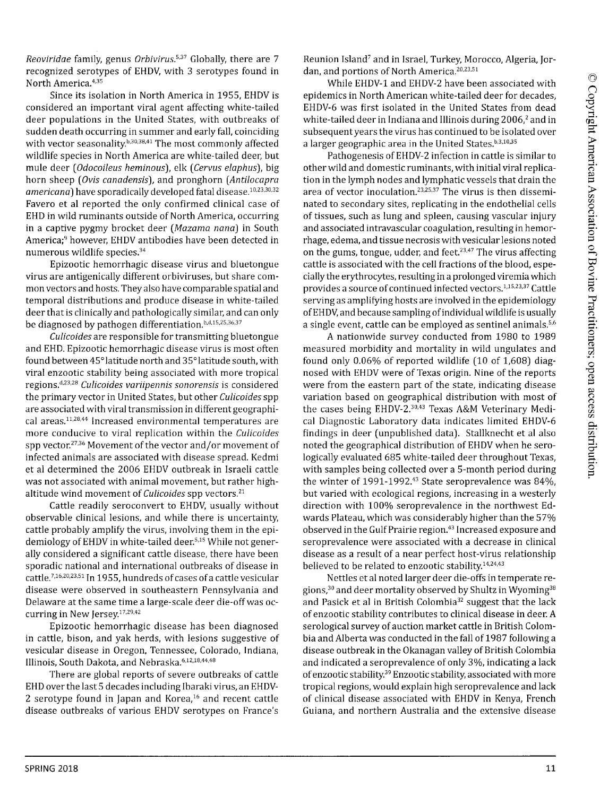*Reoviridae* family, genus *Orbivirus.5'37* Globally, there are 7 recognized serotypes of EHDV, with 3 serotypes found in North America.<sup>4,35</sup>

Since its isolation in North America in 1955, EHDV is considered an important viral agent affecting white-tailed deer populations in the United States, with outbreaks of sudden death occurring in summer and early fall, coinciding with vector seasonality.<sup>b,30,38,41</sup> The most commonly affected wildlife species in North America are white-tailed deer, but mule deer *{Odocoileus heminous),* elk (*Cervus elaphus*), big horn sheep (*Ovis canadensis*], and pronghorn *{Antilocapra* americana) have sporadically developed fatal disease.<sup>10,23,30,32</sup> Favero et al reported the only confirmed clinical case of EHD in wild ruminants outside of North America, occurring in a captive pygmy brocket deer (Mazama nana) in South America;<sup>9</sup> however, EHDV antibodies have been detected in numerous wildlife species.34

Epizootic hemorrhagic disease virus and bluetongue virus are antigenically different orbiviruses, but share common vectors and hosts. They also have comparable spatial and temporal distributions and produce disease in white-tailed deer that is clinically and pathologically similar, and can only be diagnosed by pathogen differentiation.<sup>b,d,15,25,36,37</sup>

*Culicoides* are responsible for transmitting bluetongue and EHD. Epizootic hemorrhagic disease virus is most often found between 45°latitude north and 35°latitude south, with viral enzootic stability being associated with more tropical regions.8'23'28 *Culicoides variipennis sonorensis* is considered the primary vector in United States, but other *Culicoides* spp are associated with viral transmission in different geographical areas.<sup>11,28,44</sup> Increased environmental temperatures are more conducive to viral replication within the *Culicoides* spp vector.27,36 Movement of the vector and/or movement of infected animals are associated with disease spread. Kedmi et al determined the 2006 EHDV outbreak in Israeli cattle was not associated with animal movement, but rather highaltitude wind movement of *Culicoides* spp vectors.21

Cattle readily seroconvert to EHDV, usually without observable clinical lesions, and while there is uncertainty, cattle probably amplify the virus, involving them in the epidemiology of EHDV in white-tailed deer.<sup>5,15</sup> While not generally considered a significant cattle disease, there have been sporadic national and international outbreaks of disease in cattle.<sup>7,16,20,23,51</sup> In 1955, hundreds of cases of a cattle vesicular disease were observed in southeastern Pennsylvania and Delaware at the same time a large-scale deer die-off was occurring in New Jersey.<sup>17,29,42</sup>

Epizootic hemorrhagic disease has been diagnosed in cattle, bison, and yak herds, with lesions suggestive of vesicular disease in Oregon, Tennessee, Colorado, Indiana, Illinois, South Dakota, and Nebraska.<sup>6,12,18,44,48</sup>

There are global reports of severe outbreaks of cattle EHD over the last 5 decades including Ibaraki virus, an EHDV-2 serotype found in Japan and Korea, $16$  and recent cattle disease outbreaks of various EHDV serotypes on France's Reunion Island<sup>7</sup> and in Israel, Turkey, Morocco, Algeria, Jordan, and portions of North America.<sup>20,23,51</sup>

While EHDV-1 and EHDV-2 have been associated with epidemics in North American white-tailed deer for decades, EHDV-6 was first isolated in the United States from dead white-tailed deer in Indiana and Illinois during 2006,<sup>2</sup> and in subsequent years the virus has continued to be isolated over a larger geographic area in the United States.<sup>b,3,10,35</sup>

Pathogenesis of EHDV-2 infection in cattle is similar to other wild and domestic ruminants, with initial viral replication in the lymph nodes and lymphatic vessels that drain the area of vector inoculation.<sup>23,25,37</sup> The virus is then disseminated to secondary sites, replicating in the endothelial cells of tissues, such as lung and spleen, causing vascular injury and associated intravascular coagulation, resulting in hemorrhage, edema, and tissue necrosis with vesicular lesions noted on the gums, tongue, udder, and feet.<sup>23,47</sup> The virus affecting cattle is associated with the cell fractions of the blood, especially the erythrocytes, resulting in a prolonged viremia which provides a source of continued infected vectors.<sup>1,15,23,37</sup> Cattle serving as amplifying hosts are involved in the epidemiology of EHDV, and because sampling of individual wildlife is usually a single event, cattle can be employed as sentinel animals.<sup>5,6</sup>

A nationwide survey conducted from 1980 to 1989 measured morbidity and mortality in wild ungulates and found only 0.06% of reported wildlife (10 of 1,608] diagnosed with EHDV were of Texas origin. Nine of the reports were from the eastern part of the state, indicating disease variation based on geographical distribution with most of the cases being EHDV-2.<sup>30,43</sup> Texas A&M Veterinary Medical Diagnostic Laboratory data indicates limited EHDV-6 findings in deer (unpublished data]. Stallknecht et al also noted the geographical distribution of EHDV when he serologically evaluated 685 white-tailed deer throughout Texas, with samples being collected over a 5-month period during the winter of 1991-1992.<sup>43</sup> State seroprevalence was 84%, but varied with ecological regions, increasing in a westerly direction with 100% seroprevalence in the northwest Edwards Plateau, which was considerably higher than the 57% observed in the Gulf Prairie region.<sup>43</sup> Increased exposure and seroprevalence were associated with a decrease in clinical disease as a result of a near perfect host-virus relationship believed to be related to enzootic stability.<sup>14,24,43</sup>

Nettles et al noted larger deer die-offs in temperate regions,<sup>30</sup> and deer mortality observed by Shultz in Wyoming<sup>38</sup> and Pasick et al in British Colombia<sup>32</sup> suggest that the lack of enzootic stability contributes to clinical disease in deer. A serological survey of auction market cattle in British Colombia and Alberta was conducted in the fall of 1987 following a disease outbreak in the Okanagan valley of British Colombia and indicated a seroprevalence of only 3%, indicating a lack of enzootic stability.39 Enzootic stability, associated with more tropical regions, would explain high seroprevalence and lack of clinical disease associated with EHDV in Kenya, French Guiana, and northern Australia and the extensive disease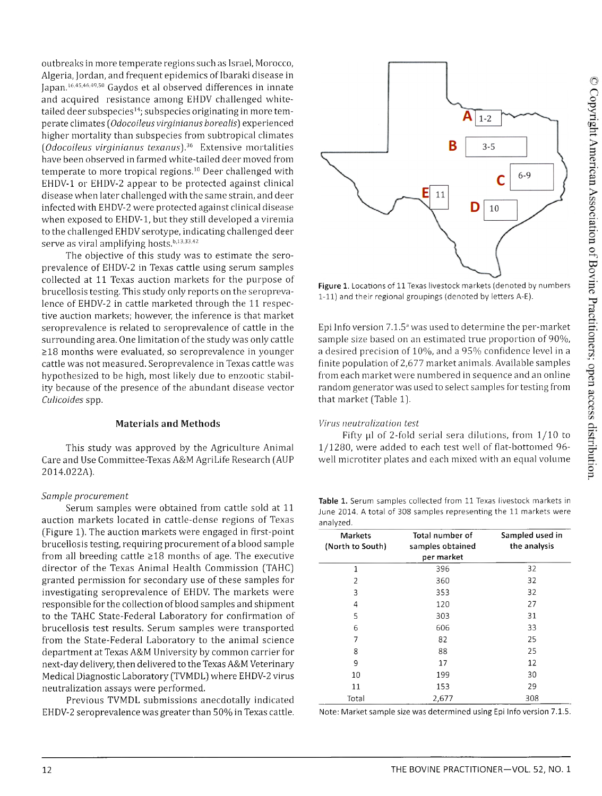outbreaks in more temperate regions such as Israel, Morocco, Algeria, Jordan, and frequent epidemics of Ibaraki disease in Japan.16,45'46,49-50 Gaydos et al observed differences in innate and acquired resistance among EHDV challenged whitetailed deer subspecies<sup>14</sup>; subspecies originating in more temperate climates (*Odocoileus virginianus borealis]* experienced higher mortality than subspecies from subtropical climates *(Odocoileus virginianus texanus).36* Extensive mortalities have been observed in farmed white-tailed deer moved from temperate to more tropical regions.<sup>10</sup> Deer challenged with EHDV-1 or EHDV-2 appear to be protected against clinical disease when later challenged with the same strain, and deer infected with EHDV-2 were protected against clinical disease when exposed to EHDV-1, but they still developed a viremia to the challenged EHDV serotype, indicating challenged deer serve as viral amplifying hosts.<sup>b,13,33,42</sup>

The objective of this study was to estimate the seroprevalence of EHDV-2 in Texas cattle using serum samples collected at 11 Texas auction markets for the purpose of brucellosis testing. This study only reports on the seroprevalence of EHDV-2 in cattle marketed through the 11 respective auction markets; however, the inference is that market seroprevalence is related to seroprevalence of cattle in the surrounding area. One limitation of the study was only cattle >18 months were evaluated, so seroprevalence in younger cattle was not measured. Seroprevalence in Texas cattle was hypothesized to be high, most likely due to enzootic stability because of the presence of the abundant disease vector *Culicoides* spp.

## **Materials and Methods**

This study was approved by the Agriculture Animal Care and Use Committee-Texas A&M AgriLife Research (AUP 2014.022A).

## *Sample procurem ent*

Serum samples were obtained from cattle sold at 11 auction markets located in cattle-dense regions of Texas (Figure 1). The auction markets were engaged in first-point brucellosis testing, requiring procurement of a blood sample from all breeding cattle  $\geq$ 18 months of age. The executive director of the Texas Animal Health Commission (TAHC) granted permission for secondary use of these samples for investigating seroprevalence of EHDV. The markets were responsible for the collection of blood samples and shipment to the TAHC State-Federal Laboratory for confirmation of brucellosis test results. Serum samples were transported from the State-Federal Laboratory to the animal science department at Texas A&M University by common carrier for next-day delivery, then delivered to the Texas A&M Veterinary Medical Diagnostic Laboratory (TVMDL) where EHDV-2 virus neutralization assays were performed.

Previous TVMDL submissions anecdotally indicated EHDV-2 seroprevalence was greater than 50% in Texas cattle.



**Figure** 1. Locations of 11 Texas livestock markets (denoted by numbers 1-11) and their regional groupings (denoted by letters A-E).

Epi Info version  $7.1.5^{\circ}$  was used to determine the per-market sample size based on an estimated true proportion of 90%, a desired precision of 10%, and a 95% confidence level in a finite population of 2,677 market animals. Available samples from each market were numbered in sequence and an online random generator was used to select samples for testing from that market (Table 1).

## *Virus neutralization test*

Fifty  $\mu$ l of 2-fold serial sera dilutions, from  $1/10$  to 1/1280, were added to each test well of flat-bottomed 96 well microtiter plates and each mixed with an equal volume

**Table** 1. Serum samples collected from 11 Texas livestock markets in June 2014. A total of 308 samples representing the 11 markets were analyzed.

| <b>Markets</b><br>(North to South) | Total number of<br>samples obtained | Sampled used in<br>the analysis |
|------------------------------------|-------------------------------------|---------------------------------|
|                                    | per market                          |                                 |
| 1                                  | 396                                 | 32                              |
| 2                                  | 360                                 | 32                              |
| 3                                  | 353                                 | 32                              |
| 4                                  | 120                                 | 27                              |
| 5                                  | 303                                 | 31                              |
| 6                                  | 606                                 | 33                              |
| 7                                  | 82                                  | 25                              |
| 8                                  | 88                                  | 25                              |
| 9                                  | 17                                  | 12                              |
| 10                                 | 199                                 | 30                              |
| 11                                 | 153                                 | 29                              |
| Total                              | 2,677                               | 308                             |

Note: Market sample size was determined using Epi Info version 7.1.5.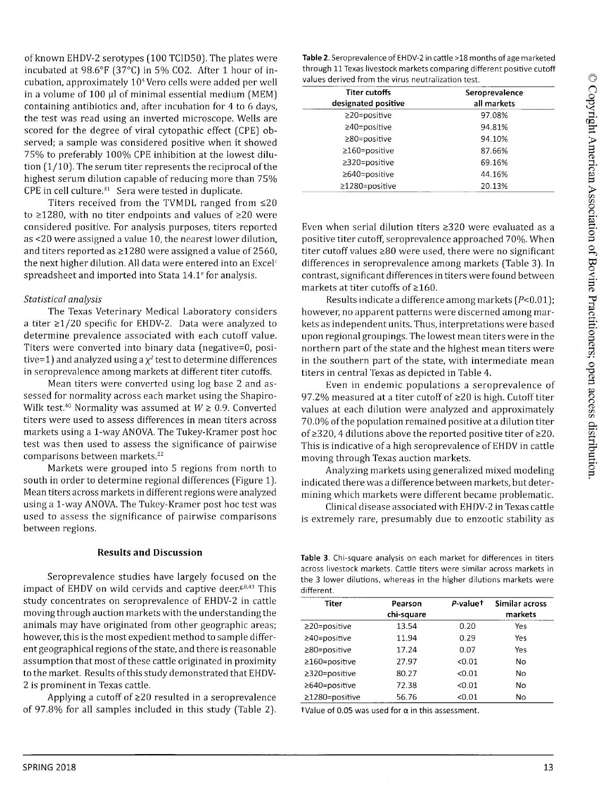of known EHDV-2 serotypes (100 TCID50). The plates were incubated at 98.6°F (37°C) in 5% C02. After 1 hour of incubation, approximately 104Vero cells were added per well in a volume of 100 µl of minimal essential medium (MEM) containing antibiotics and, after incubation for 4 to 6 days, the test was read using an inverted microscope. Wells are scored for the degree of viral cytopathic effect (CPE) observed; a sample was considered positive when it showed 75% to preferably 100% CPE inhibition at the lowest dilution (1/10). The serum titer represents the reciprocal of the highest serum dilution capable of reducing more than 75% CPE in cell culture. $31$  Sera were tested in duplicate.

Titers received from the TVMDL ranged from  $\leq 20$ to  $\geq$ 1280, with no titer endpoints and values of  $\geq$ 20 were considered positive. For analysis purposes, titers reported as <20 were assigned a value 10, the nearest lower dilution, and titers reported as  $\geq$ 1280 were assigned a value of 2560, the next higher dilution. All data were entered into an Excel $<sup>c</sup>$ </sup> spreadsheet and imported into Stata 14.1<sup>e</sup> for analysis.

# *Statistical analysis*

The Texas Veterinary Medical Laboratory considers a titer  $\geq 1/20$  specific for EHDV-2. Data were analyzed to determine prevalence associated with each cutoff value. Titers were converted into binary data (negative=0, positive=1) and analyzed using a  $\chi^2$  test to determine differences in seroprevalence among markets at different titer cutoffs.

Mean titers were converted using log base 2 and assessed for normality across each market using the Shapiro-Wilk test.40 Normality was assumed at *W >* 0.9. Converted titers were used to assess differences in mean titers across markets using a 1-way ANOVA. The Tukey-Kramer post hoc test was then used to assess the significance of pairwise comparisons between markets.22

Markets were grouped into 5 regions from north to south in order to determine regional differences (Figure 1). Mean titers across markets in different regions were analyzed using a 1-way ANOVA. The Tukey-Kramer post hoc test was used to assess the significance of pairwise comparisons between regions.

# **Results and Discussion**

Seroprevalence studies have largely focused on the impact of EHDV on wild cervids and captive deer. $g, g$ , This study concentrates on seroprevalence of EHDV-2 in cattle moving through auction markets with the understanding the animals may have originated from other geographic areas; however, this is the most expedient method to sample different geographical regions of the state, and there is reasonable assumption that most of these cattle originated in proximity to the market. Results of this study demonstrated that EHDV-2 is prominent in Texas cattle.

Applying a cutoff of  $\geq 20$  resulted in a seroprevalence of 97.8% for all samples included in this study (Table 2).

| Table 2. Seroprevalence of EHDV-2 in cattle >18 months of age marketed |
|------------------------------------------------------------------------|
| through 11 Texas livestock markets comparing different positive cutoff |
| values derived from the virus neutralization test.                     |

| <b>Titer cutoffs</b> | Seroprevalence |  |
|----------------------|----------------|--|
| designated positive  | all markets    |  |
| $\geq$ 20=positive   | 97.08%         |  |
| $\geq 40$ =positive  | 94.81%         |  |
| $\geq 80$ =positive  | 94.10%         |  |
| $\geq 160$ =positive | 87.66%         |  |
| $\geq$ 320=positive  | 69.16%         |  |
| ≥640=positive        | 44.16%         |  |
| $\geq$ 1280=positive | 20.13%         |  |

Even when serial dilution titers  $\geq$ 320 were evaluated as a positive titer cutoff, seroprevalence approached 70%. When titer cutoff values  $\geq 80$  were used, there were no significant differences in seroprevalence among markets (Table 3). In contrast, significant differences in titers were found between markets at titer cutoffs of  $\geq 160$ .

Results indicate a difference among markets  $(P<0.01)$ ; however, no apparent patterns were discerned among markets as independent units. Thus, interpretations were based upon regional groupings. The lowest mean titers were in the northern part of the state and the highest mean titers were in the southern part of the state, with intermediate mean titers in central Texas as depicted in Table 4.

Even in endemic populations a seroprevalence of 97.2% measured at a titer cutoff of  $\geq$ 20 is high. Cutoff titer values at each dilution were analyzed and approximately 70.0% of the population remained positive at a dilution titer of  $\geq$  320, 4 dilutions above the reported positive titer of  $\geq$  20. This is indicative of a high seroprevalence of EHDV in cattle moving through Texas auction markets.

Analyzing markets using generalized mixed modeling indicated there was a difference between markets, but determining which markets were different became problematic.

Clinical disease associated with EHDV-2 in Texas cattle is extremely rare, presumably due to enzootic stability as

**Table 3.** Chi-square analysis on each market for differences in titers across livestock markets. Cattle titers were similar across markets in the 3 lower dilutions, whereas in the higher dilutions markets were different.

| <b>Titer</b>         | Pearson<br>chi-square | P-valuet | Similar across<br>markets |
|----------------------|-----------------------|----------|---------------------------|
| $\geq$ 20=positive   | 13.54                 | 0.20     | Yes                       |
| ≥40=positive         | 11.94                 | 0.29     | Yes                       |
| $\geq 80$ =positive  | 17.24                 | 0.07     | Yes                       |
| $\geq$ 160=positive  | 27.97                 | < 0.01   | No                        |
| $\geq$ 320=positive  | 80.27                 | < 0.01   | No                        |
| $\geq$ 640=positive  | 72.38                 | < 0.01   | No                        |
| $\geq$ 1280=positive | 56.76                 | < 0.01   | No                        |

 $\dagger$ Value of 0.05 was used for  $\alpha$  in this assessment.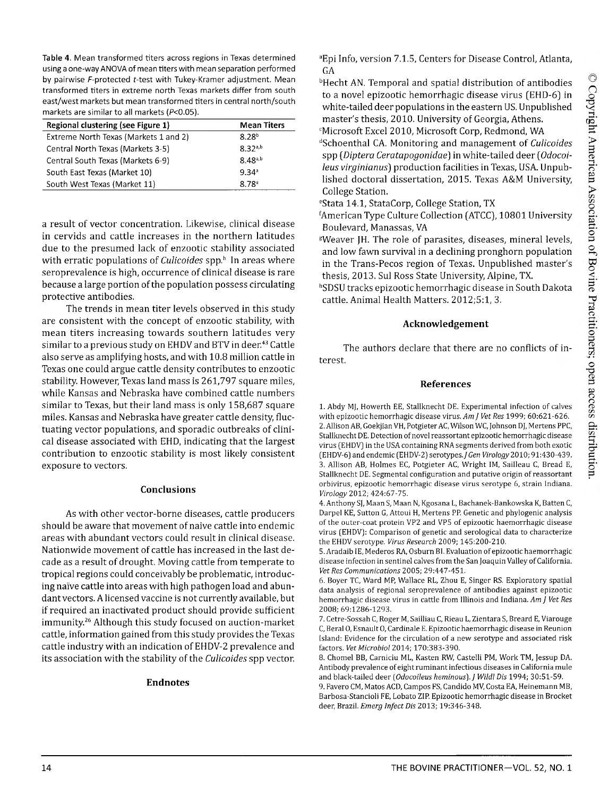**Table 4.** Mean transformed titers across regions in Texas determined using a one-way ANOVA of mean titers with mean separation performed by pairwise F-protected f-test with Tukey-Kramer adjustment. Mean transformed titers in extreme north Texas markets differ from south east/west markets but mean transformed titers in central north/south markets are similar to all markets *(P<*0.05).

| Regional clustering (see Figure 1)    | <b>Mean Titers</b>  |
|---------------------------------------|---------------------|
| Extreme North Texas (Markets 1 and 2) | 8.28 <sup>b</sup>   |
| Central North Texas (Markets 3-5)     | $8.32^{a,b}$        |
| Central South Texas (Markets 6-9)     | 8 48 <sup>a,b</sup> |
| South East Texas (Market 10)          | 9.34 <sup>a</sup>   |
| South West Texas (Market 11)          | 8.78 <sup>3</sup>   |

a result of vector concentration. Likewise, clinical disease in cervids and cattle increases in the northern latitudes due to the presumed lack of enzootic stability associated with erratic populations of *Culicoides* spp.<sup>h</sup> In areas where seroprevalence is high, occurrence of clinical disease is rare because a large portion of the population possess circulating protective antibodies.

The trends in mean titer levels observed in this study are consistent with the concept of enzootic stability, with mean titers increasing towards southern latitudes very similar to a previous study on EHDV and BTV in deer.<sup>43</sup> Cattle also serve as amplifying hosts, and with 10.8 million cattle in Texas one could argue cattle density contributes to enzootic stability. However, Texas land mass is 261,797 square miles, while Kansas and Nebraska have combined cattle numbers similar to Texas, but their land mass is only 158,687 square miles. Kansas and Nebraska have greater cattle density, fluctuating vector populations, and sporadic outbreaks of clinical disease associated with EHD, indicating that the largest contribution to enzootic stability is most likely consistent exposure to vectors.

## **Conclusions**

As with other vector-borne diseases, cattle producers should be aware that movement of naive cattle into endemic areas with abundant vectors could result in clinical disease. Nationwide movement of cattle has increased in the last decade as a result of drought. Moving cattle from temperate to tropical regions could conceivably be problematic, introducing naive cattle into areas with high pathogen load and abundant vectors. A licensed vaccine is not currently available, but if required an inactivated product should provide sufficient immunity.26 Although this study focused on auction-market cattle, information gained from this study provides the Texas cattle industry with an indication of EHDV-2 prevalence and its association with the stability of the *Culicoides* spp vector.

#### **Endnotes**

aEpi Info, version 7.1.5, Centers for Disease Control, Atlanta, GA

bHecht AN. Temporal and spatial distribution of antibodies to a novel epizootic hemorrhagic disease virus (EHD-6] in white-tailed deer populations in the eastern US. Unpublished master's thesis, 2010. University of Georgia, Athens. <sup>c</sup>Microsoft Excel 2010, Microsoft Corp, Redmond, WA

dSchoenthal CA. Monitoring and management of *Culicoides* spp (*Diptera Ceratapogonidae)* in white-tailed deer *[Odocoileus virginianus*) production facilities in Texas, USA. Unpublished doctoral dissertation, 2015. Texas A&M University, College Station.

eStata 14.1, StataCorp, College Station, TX

American Type Culture Collection (ATCC), 10801 University Boulevard, Manassas, VA

gWeaver JH. The role of parasites, diseases, mineral levels, and low fawn survival in a declining pronghorn population in the Trans-Pecos region of Texas. Unpublished master's thesis, 2013. Sul Ross State University, Alpine, TX.

hSDSU tracks epizootic hemorrhagic disease in South Dakota cattle. Animal Health Matters. 2012;5:1, 3.

# **Acknowledgement**

The authors declare that there are no conflicts of interest.

#### **References**

**1. Abdy MJ, Howerth EE, Stallknecht DE. Experimental infection of calves with epizootic hemorrhagic disease virus.** *Am ] Vet Res* **1999; 60:621-626. 2. Allison AB, Goekjian VH, Potgieter AC, Wilson WC, Johnson DJ, Mertens PPC, Stallknecht DE. Detection of novel reassortant epizootic hemorrhagic disease virus (EHDV) in the USA containing RNA segments derived from both exotic (EHDV-6) and endemic (EHDV-2) serotypes./***Gen Virology* **2010; 91:430-439. 3. Allison AB, Holmes EC, Potgieter AC, Wright IM, Sailleau C, Bread E, Stallknecht DE. Segmental configuration and putative origin of reassortant orbivirus, epizootic hemorrhagic disease virus serotype 6, strain Indiana.** *Virology* **2012; 424:67-75.**

**4. Anthony SJ, Maan S, Maan N, Kgosana L, Bachanek-Bankowska K, Batten C, Darpel KE, Sutton G, Attoui H, Mertens PP. Genetic and phylogenic analysis of the outer-coat protein VP2 and VP5 of epizootic haemorrhagic disease virus (EHDV): Comparison of genetic and serological data to characterize the EHDV serotype.** *Virus Research* **2009; 145:200-210.**

**5. Aradaib IE, Mederos RA, Osburn BI. Evaluation of epizootic haemorrhagic disease infection in sentinel calves from the San Joaquin Valley of California.** *Vet Res Communications* **2005; 29:447-451.**

**6. Boyer TC, Ward MP, Wallace RL, Zhou E, Singer RS. Exploratory spatial data analysis of regional seroprevalence of antibodies against epizootic hemorrhagic disease virus in cattle from Illinois and Indiana.** *Am J Vet Res* **2008; 69:1286-1293.**

**7. Cetre-Sossah C, Roger M, Sailliau C, Rieau L, Zientara S, Breard E, Viarouge C, Beral 0, Esnault 0, Cardinale E. Epizootic haemorrhagic disease in Reunion Island: Evidence for the circulation of a new serotype and associated risk factors.** *Vet Microbiol* **2014; 170:383-390.**

**8. Chomel BB, Carniciu ML, Hasten RW, Castelli PM, Work TM, Jessup DA. Antibody prevalence of eight ruminant infectious diseases in California mule and black-tailed deer (***Odocoileus heminous).J Wildl Dis* **1994; 30:51-59.**

**9. Favero CM, Matos ACD, Campos FS, Candido MV, Costa EA, Heinemann MB, Barbosa-Stancioli FE, Lobato ZIP. Epizootic hemorrhagic disease in Brocket deer, Brazil.** *Emerg Infect Dis* **2013; 19:346-348.**